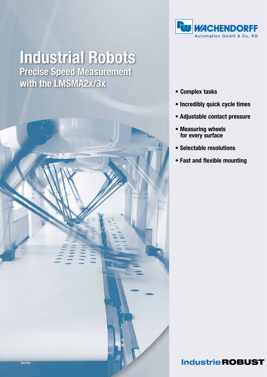

# **Industrial Robots Precise Speed Measurement** with the LMSMA2x/3x



- • Complex tasks
- Incredibly quick cycle times
- Adjustable contact pressure
- Measuring wheels for every surface
- Selectable resolutions
- Fast and flexible mounting

### **Industrie ROBUST**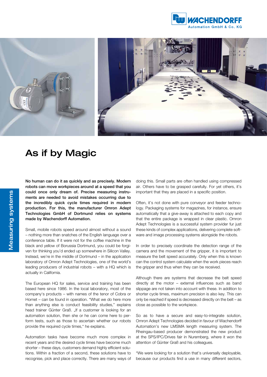



## As if by Magic

No human can do it as quickly and as precisely. Modern robots can move workpieces around at a speed that you could once only dream of. Precise measuring instruments are needed to avoid mistakes occurring due to the incredibly quick cycle times required in modern production. For this, the manufacturer Omron Adept Technologies GmbH of Dortmund relies on systems made by Wachendorff Automation.

Small, mobile robots speed around almost without a sound – nothing more than snatches of the English language over a conference table. If it were not for the coffee machine in the black and yellow of Borussia Dortmund, you could be forgiven for thinking you'd ended up somewhere in Silicon Valley. Instead, we're in the middle of Dortmund – in the application laboratory of Omron Adept Technologies, one of the world's leading producers of industrial robots – with a HQ which is actually in California.

The European HQ for sales, service and training has been based here since 1986. In the local laboratory, most of the company's products – with names of the tenor of Cobra or Hornet – can be found in operation. "What we do here more than anything else is conduct feasibility studies," explains head trainer Günter Graß. "If a customer is looking for an automation solution, then she or he can come here to perform tests, such as those to ascertain whether our robots provide the required cycle times," he explains.

Automation tasks have become much more complex in recent years and the desired cycle times have become much shorter – these days, customers demand highly efficient solutions. Within a fraction of a second, these solutions have to recognise, pick and place correctly. There are many ways of doing this. Small parts are often handled using compressed air. Others have to be grasped carefully. For yet others, it's important that they are placed in a specific position.

Often, it's not done with pure conveyor and feeder technology. Packaging systems for magazines, for instance, ensure automatically that a give-away is attached to each copy and that the entire package is wrapped in clear plastic. Omron Adept Technologies is a successful system provider fur just these kinds of complex applications, delivering complete software and image processing systems alongside the robots.

In order to precisely coordinate the detection range of the camera and the movement of the gripper, it is important to measure the belt speed accurately. Only when this is known can the control system calculate when the work pieces reach the gripper and thus when they can be received.

Although there are systems that decrease the belt speed directly at the motor – external influences such as band slippage are not taken into account with these. In addition to shorter cycle times, maximum precision is also key. This can only be reached if speed is decreased directly on the belt – as close as possible to the workpiece.

So as to have a secure and easy-to-integrate solution, Omron Adept Technologies decided in favour of Wachendorff Automation's new LMSMA length measuring system. The Rheingau-based producer demonstrated the new product at the SPS/IPC/Drives fair in Nuremberg, where it won the attention of Günter Graß and his colleagues.

"We were looking for a solution that's universally deployable, because our products find a use in many different sectors,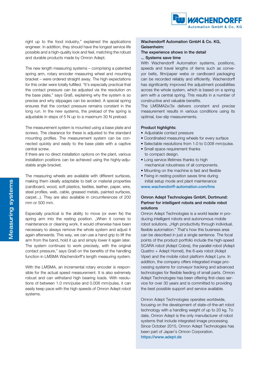

right up to the food industry," explained the applications engineer. In addition, they should have the longest service life possible and a high-quality look and feel, matching the robust and durable products made by Omron Adept.

The new length measuring systems – comprising a patented spring arm, rotary encoder measuring wheel and mounting bracket – were ordered straight away. The high expectations for this order were totally fulfilled. "It's especially practical that the contact pressure can be adjusted via the resolution on the base plate," says Graß, explaining why the system is so precise and why slippages can be avoided. A special spring ensures that the contact pressure remains constant in the long run. In the new systems, the preload of the spring is adjustable in steps of 5 N up to a maximum 30 N preload.

The measurement system is mounted using a base plate and screws. The clearance for these is adjusted to the standard mounting profiles. The measurement system can be connected quickly and easily to the base plate with a captive central screw.

If there are no direct installation options on the plant, various installation positions can be achieved using the highly-adjustable angle bracket.

The measuring wheels are available with different surfaces, making them ideally adaptable to belt or material properties (cardboard, wood, soft plastics, textiles, leather, paper, wire, steel profiles, web, cable, greased metals, painted surfaces, carpet...). They are also available in circumferences of 200 mm or 500 mm.

Especially practical is the ability to move (or even fix) the spring arm into the resting position. "When it comes to maintenance or cleaning work, it would otherwise have been necessary to always remove the whole system and adjust it again afterwards. This way, we can use a hand grip to lift the arm from the band, hold it up and simply lower it again later. The system continues to work precisely, with the original contact pressure," says Graß on the benefits of the handling function in LMSMA Wachendorff's length measuring system.

With the LMSMA, an incremental rotary encoder is responsible for the actual speed measurement. It is also extremely robust and can withstand high bearing loads. With resolutions of between 1.0 mm/pulse and 0.008 mm/pulse, it can easily keep pace with the high speeds of Omron Adept robot systems.

#### Wachendorff Automation GmbH & Co. KG, Geisenheim:

#### The experience shows in the detail ... Systems save time

With Wachendorff Automation systems, positions, speeds and travel lengths of items such as conveyor belts, film/paper webs or cardboard packaging can be recorded reliably and efficiently. Wachendorff has significantly improved the adjustment possibilities across the whole system, which is based on a spring arm with a central spring. This results in a number of constructive and valuable benefits.

The LMSMA2x/3x delivers constant and precise measurement results in various conditions using its optimal, low-slip measurements.

#### Product highlights:

- Adjustable contact pressure
- Coordinated measuring wheels for every surface
- Selectable resolutions from 1.0 to 0.008 mm/pulse.
- Small space requirement thanks to compact design.
- Long service lifetimes thanks to high mechanical robustness of all components.
- Mounting on the machine is fast and flexible
- Fixing in resting position saves time during initial setup mode and plant maintenance

www.wachendorff-automation.com/lms

#### Omron Adept Technologies GmbH, Dortmund: Partner for intelligent robots and mobile robot solutions

Omron Adept Technologies is a world leader in producing intelligent robots and autonomous mobile robot solutions. "High productivity through individual, flexible automation." That's how this business area can be described in just a single sentence. The focal points of the product portfolio include the high-speed SCARA robot (Adept Cobra), the parallel robot (Adept Quattro + Adept Hornet), the 6-axis robot (Adept Viper) and the mobile robot platform Adept Lynx. In addition, the company offers integrated image processing systems for conveyor tracking and advanced technologies for flexible feeding of small parts. Omron Adept Technologies has been offering first-class service for over 30 years and is committed to providing the best possible support and service available.

Omron Adept Technologies operates worldwide, focusing on the development of state-of-the-art robot technology with a handling weight of up to 20 kg. To date, Omron Adept is the only manufacturer of robot systems that include integrated image processing. Since October 2015, Omron Adept Technologies has been part of Japan's Omron Corporation. https://www.adept.de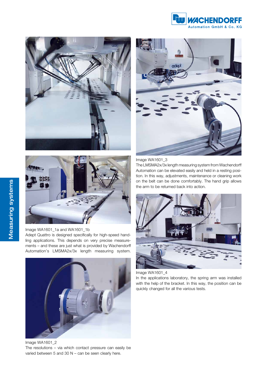





Image WA1601\_1a and WA1601\_1b Adept Quattro is designed specifically for high-speed handling applications. This depends on very precise measurements – and these are just what is provided by Wachendorff Automation's LMSMA2x/3x length measuring system.



Image WA1601\_2 The resolutions – via which contact pressure can easily be varied between 5 and 30 N – can be seen clearly here.



Image WA1601\_3

The LMSMA2x/3x length measuring system from Wachendorff Automation can be elevated easily and held in a resting position. In this way, adjustments, maintenance or cleaning work on the belt can be done comfortably. The hand grip allows the arm to be returned back into action.





In the applications laboratory, the spring arm was installed with the help of the bracket. In this way, the position can be quickly changed for all the various tests.